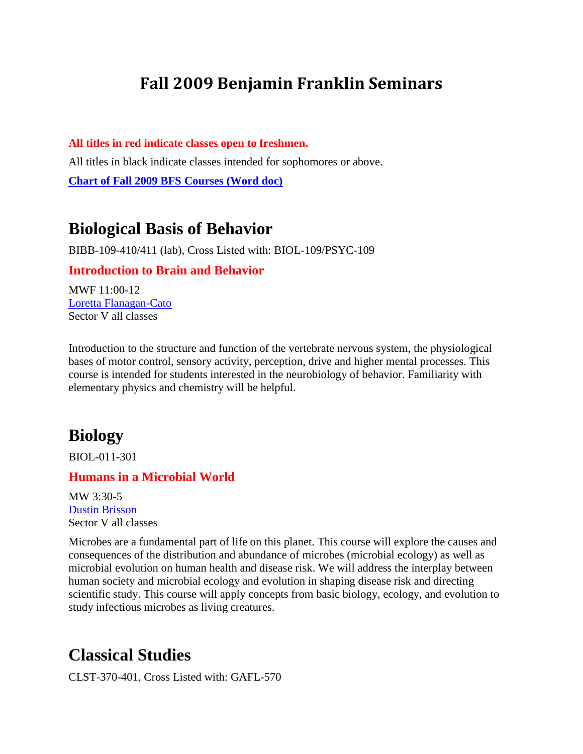# **Fall 2009 Benjamin Franklin Seminars**

**All titles in red indicate classes open to freshmen.** All titles in black indicate classes intended for sophomores or above. **[Chart of Fall 2009 BFS Courses \(Word doc\)](#page-14-0)**

## **Biological Basis of Behavior**

BIBB-109-410/411 (lab), Cross Listed with: BIOL-109/PSYC-109

#### **Introduction to Brain and Behavior**

MWF 11:00-12 [Loretta Flanagan-Cato](http://www.med.upenn.edu/ins/faculty/flanagan.htm) Sector V all classes

Introduction to the structure and function of the vertebrate nervous system, the physiological bases of motor control, sensory activity, perception, drive and higher mental processes. This course is intended for students interested in the neurobiology of behavior. Familiarity with elementary physics and chemistry will be helpful.

## **Biology**

BIOL-011-301

### **Humans in a Microbial World**

MW 3:30-5 [Dustin Brisson](http://www.bio.upenn.edu/faculty/brisson/) Sector V all classes

Microbes are a fundamental part of life on this planet. This course will explore the causes and consequences of the distribution and abundance of microbes (microbial ecology) as well as microbial evolution on human health and disease risk. We will address the interplay between human society and microbial ecology and evolution in shaping disease risk and directing scientific study. This course will apply concepts from basic biology, ecology, and evolution to study infectious microbes as living creatures.

### **Classical Studies**

CLST-370-401, Cross Listed with: GAFL-570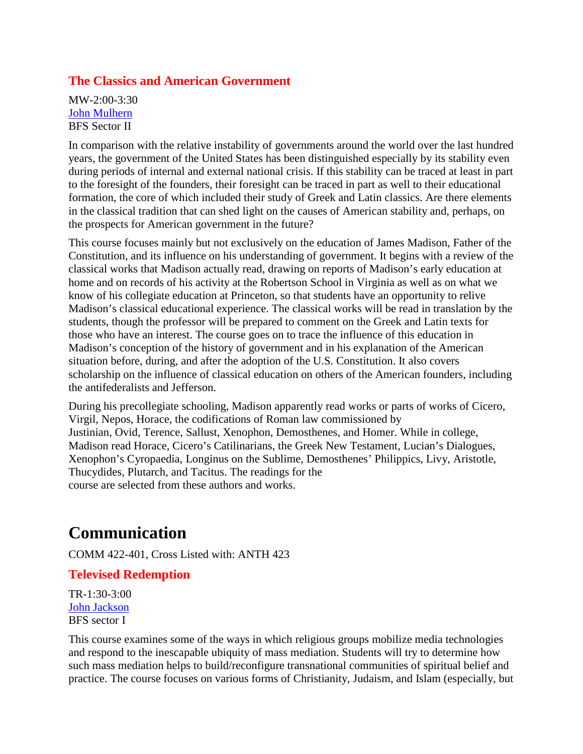### **The Classics and American Government**

MW-2:00-3:30 [John Mulhern](http://www.fels.upenn.edu/faculty/mulhern.htm) BFS Sector II

In comparison with the relative instability of governments around the world over the last hundred years, the government of the United States has been distinguished especially by its stability even during periods of internal and external national crisis. If this stability can be traced at least in part to the foresight of the founders, their foresight can be traced in part as well to their educational formation, the core of which included their study of Greek and Latin classics. Are there elements in the classical tradition that can shed light on the causes of American stability and, perhaps, on the prospects for American government in the future?

This course focuses mainly but not exclusively on the education of James Madison, Father of the Constitution, and its influence on his understanding of government. It begins with a review of the classical works that Madison actually read, drawing on reports of Madison's early education at home and on records of his activity at the Robertson School in Virginia as well as on what we know of his collegiate education at Princeton, so that students have an opportunity to relive Madison's classical educational experience. The classical works will be read in translation by the students, though the professor will be prepared to comment on the Greek and Latin texts for those who have an interest. The course goes on to trace the influence of this education in Madison's conception of the history of government and in his explanation of the American situation before, during, and after the adoption of the U.S. Constitution. It also covers scholarship on the influence of classical education on others of the American founders, including the antifederalists and Jefferson.

During his precollegiate schooling, Madison apparently read works or parts of works of Cicero, Virgil, Nepos, Horace, the codifications of Roman law commissioned by Justinian, Ovid, Terence, Sallust, Xenophon, Demosthenes, and Homer. While in college, Madison read Horace, Cicero's Catilinarians, the Greek New Testament, Lucian's Dialogues, Xenophon's Cyropaedia, Longinus on the Sublime, Demosthenes' Philippics, Livy, Aristotle, Thucydides, Plutarch, and Tacitus. The readings for the course are selected from these authors and works.

# **Communication**

COMM 422-401, Cross Listed with: ANTH 423

#### **Televised Redemption**

TR-1:30-3:00 [John Jackson](http://www.asc.upenn.edu/ascfaculty/FacultyBio.aspx?id=156) BFS sector I

This course examines some of the ways in which religious groups mobilize media technologies and respond to the inescapable ubiquity of mass mediation. Students will try to determine how such mass mediation helps to build/reconfigure transnational communities of spiritual belief and practice. The course focuses on various forms of Christianity, Judaism, and Islam (especially, but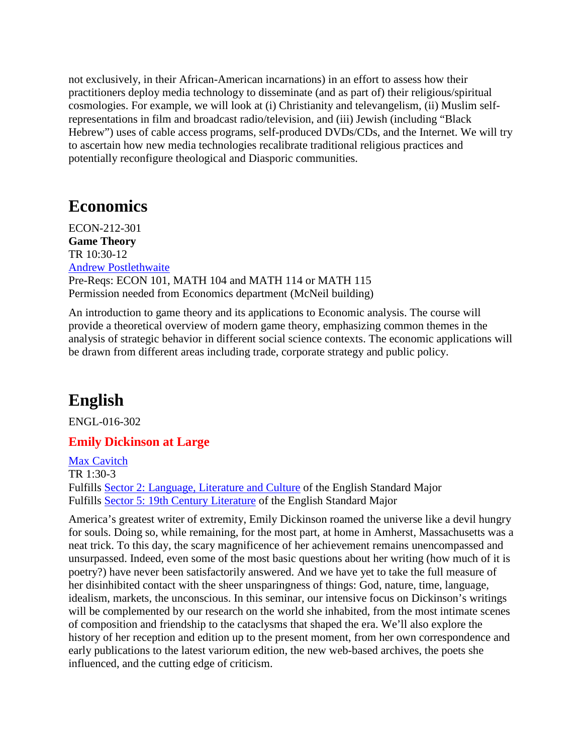not exclusively, in their African-American incarnations) in an effort to assess how their practitioners deploy media technology to disseminate (and as part of) their religious/spiritual cosmologies. For example, we will look at (i) Christianity and televangelism, (ii) Muslim selfrepresentations in film and broadcast radio/television, and (iii) Jewish (including "Black Hebrew") uses of cable access programs, self-produced DVDs/CDs, and the Internet. We will try to ascertain how new media technologies recalibrate traditional religious practices and potentially reconfigure theological and Diasporic communities.

## **Economics**

ECON-212-301 **Game Theory** TR 10:30-12 [Andrew Postlethwaite](http://www.econ.upenn.edu/cgi-bin/mecon/bin/view.cgi?id=157) Pre-Reqs: ECON 101, MATH 104 and MATH 114 or MATH 115 Permission needed from Economics department (McNeil building)

An introduction to game theory and its applications to Economic analysis. The course will provide a theoretical overview of modern game theory, emphasizing common themes in the analysis of strategic behavior in different social science contexts. The economic applications will be drawn from different areas including trade, corporate strategy and public policy.

# **English**

ENGL-016-302

### **Emily Dickinson at Large**

[Max Cavitch](http://www.english.upenn.edu/People/Faculty/profile.php?pennkey=cavitch) TR 1:30-3 Fulfills [Sector 2: Language, Literature and Culture](http://www.english.upenn.edu/Undergrad/standard.php) of the English Standard Major Fulfills [Sector 5: 19th Century Literature](http://www.english.upenn.edu/Undergrad/standard.php) of the English Standard Major

America's greatest writer of extremity, Emily Dickinson roamed the universe like a devil hungry for souls. Doing so, while remaining, for the most part, at home in Amherst, Massachusetts was a neat trick. To this day, the scary magnificence of her achievement remains unencompassed and unsurpassed. Indeed, even some of the most basic questions about her writing (how much of it is poetry?) have never been satisfactorily answered. And we have yet to take the full measure of her disinhibited contact with the sheer unsparingness of things: God, nature, time, language, idealism, markets, the unconscious. In this seminar, our intensive focus on Dickinson's writings will be complemented by our research on the world she inhabited, from the most intimate scenes of composition and friendship to the cataclysms that shaped the era. We'll also explore the history of her reception and edition up to the present moment, from her own correspondence and early publications to the latest variorum edition, the new web-based archives, the poets she influenced, and the cutting edge of criticism.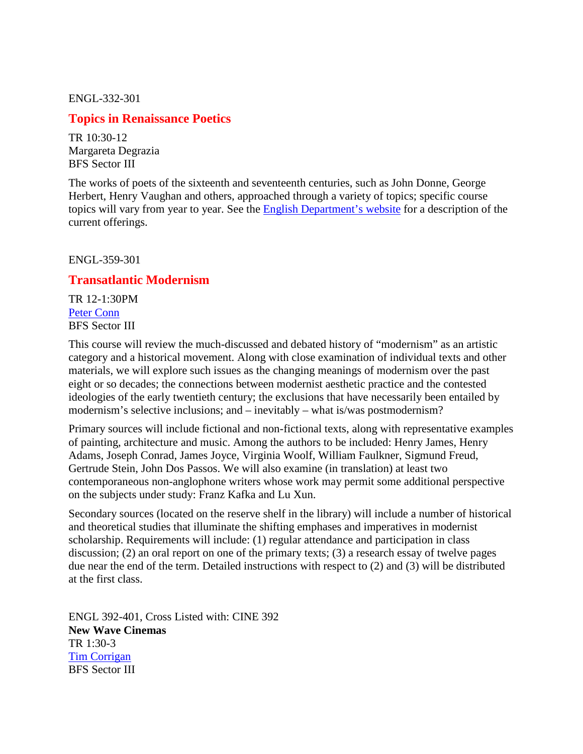ENGL-332-301

### **Topics in Renaissance Poetics**

TR 10:30-12 Margareta Degrazia BFS Sector III

The works of poets of the sixteenth and seventeenth centuries, such as John Donne, George Herbert, Henry Vaughan and others, approached through a variety of topics; specific course topics will vary from year to year. See the [English Department's website](http://www.english.upenn.edu/) for a description of the current offerings.

ENGL-359-301

#### **Transatlantic Modernism**

TR 12-1:30PM [Peter Conn](http://www.english.upenn.edu/People/Faculty/profile.php?pennkey=pconn) BFS Sector III

This course will review the much-discussed and debated history of "modernism" as an artistic category and a historical movement. Along with close examination of individual texts and other materials, we will explore such issues as the changing meanings of modernism over the past eight or so decades; the connections between modernist aesthetic practice and the contested ideologies of the early twentieth century; the exclusions that have necessarily been entailed by modernism's selective inclusions; and – inevitably – what is/was postmodernism?

Primary sources will include fictional and non-fictional texts, along with representative examples of painting, architecture and music. Among the authors to be included: Henry James, Henry Adams, Joseph Conrad, James Joyce, Virginia Woolf, William Faulkner, Sigmund Freud, Gertrude Stein, John Dos Passos. We will also examine (in translation) at least two contemporaneous non-anglophone writers whose work may permit some additional perspective on the subjects under study: Franz Kafka and Lu Xun.

Secondary sources (located on the reserve shelf in the library) will include a number of historical and theoretical studies that illuminate the shifting emphases and imperatives in modernist scholarship. Requirements will include: (1) regular attendance and participation in class discussion; (2) an oral report on one of the primary texts; (3) a research essay of twelve pages due near the end of the term. Detailed instructions with respect to (2) and (3) will be distributed at the first class.

ENGL 392-401, Cross Listed with: CINE 392 **New Wave Cinemas** TR 1:30-3 [Tim Corrigan](http://www.english.upenn.edu/People/Faculty/profile.php?pennkey=tcorriga) BFS Sector III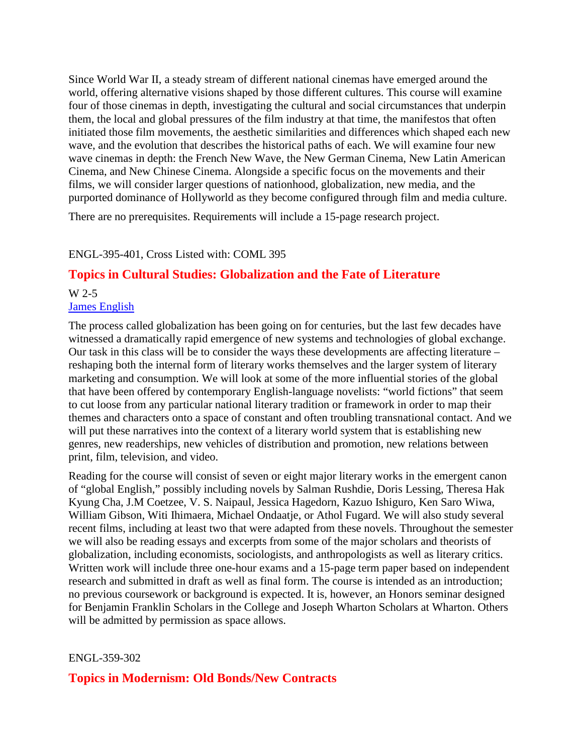Since World War II, a steady stream of different national cinemas have emerged around the world, offering alternative visions shaped by those different cultures. This course will examine four of those cinemas in depth, investigating the cultural and social circumstances that underpin them, the local and global pressures of the film industry at that time, the manifestos that often initiated those film movements, the aesthetic similarities and differences which shaped each new wave, and the evolution that describes the historical paths of each. We will examine four new wave cinemas in depth: the French New Wave, the New German Cinema, New Latin American Cinema, and New Chinese Cinema. Alongside a specific focus on the movements and their films, we will consider larger questions of nationhood, globalization, new media, and the purported dominance of Hollyworld as they become configured through film and media culture.

There are no prerequisites. Requirements will include a 15-page research project.

#### ENGL-395-401, Cross Listed with: COML 395

### **Topics in Cultural Studies: Globalization and the Fate of Literature**

#### W 2-5 [James English](http://www.english.upenn.edu/~jenglish/)

The process called globalization has been going on for centuries, but the last few decades have witnessed a dramatically rapid emergence of new systems and technologies of global exchange. Our task in this class will be to consider the ways these developments are affecting literature – reshaping both the internal form of literary works themselves and the larger system of literary marketing and consumption. We will look at some of the more influential stories of the global that have been offered by contemporary English-language novelists: "world fictions" that seem to cut loose from any particular national literary tradition or framework in order to map their themes and characters onto a space of constant and often troubling transnational contact. And we will put these narratives into the context of a literary world system that is establishing new genres, new readerships, new vehicles of distribution and promotion, new relations between print, film, television, and video.

Reading for the course will consist of seven or eight major literary works in the emergent canon of "global English," possibly including novels by Salman Rushdie, Doris Lessing, Theresa Hak Kyung Cha, J.M Coetzee, V. S. Naipaul, Jessica Hagedorn, Kazuo Ishiguro, Ken Saro Wiwa, William Gibson, Witi Ihimaera, Michael Ondaatje, or Athol Fugard. We will also study several recent films, including at least two that were adapted from these novels. Throughout the semester we will also be reading essays and excerpts from some of the major scholars and theorists of globalization, including economists, sociologists, and anthropologists as well as literary critics. Written work will include three one-hour exams and a 15-page term paper based on independent research and submitted in draft as well as final form. The course is intended as an introduction; no previous coursework or background is expected. It is, however, an Honors seminar designed for Benjamin Franklin Scholars in the College and Joseph Wharton Scholars at Wharton. Others will be admitted by permission as space allows.

#### ENGL-359-302

#### **Topics in Modernism: Old Bonds/New Contracts**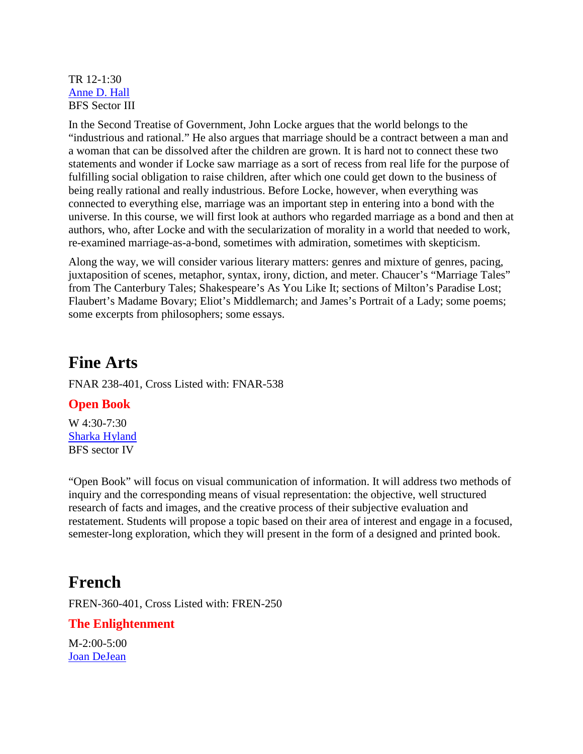TR 12-1:30 [Anne D. Hall](http://www.english.upenn.edu/People/Faculty/profile.php?pennkey=adhall) BFS Sector III

In the Second Treatise of Government, John Locke argues that the world belongs to the "industrious and rational." He also argues that marriage should be a contract between a man and a woman that can be dissolved after the children are grown. It is hard not to connect these two statements and wonder if Locke saw marriage as a sort of recess from real life for the purpose of fulfilling social obligation to raise children, after which one could get down to the business of being really rational and really industrious. Before Locke, however, when everything was connected to everything else, marriage was an important step in entering into a bond with the universe. In this course, we will first look at authors who regarded marriage as a bond and then at authors, who, after Locke and with the secularization of morality in a world that needed to work, re-examined marriage-as-a-bond, sometimes with admiration, sometimes with skepticism.

Along the way, we will consider various literary matters: genres and mixture of genres, pacing, juxtaposition of scenes, metaphor, syntax, irony, diction, and meter. Chaucer's "Marriage Tales" from The Canterbury Tales; Shakespeare's As You Like It; sections of Milton's Paradise Lost; Flaubert's Madame Bovary; Eliot's Middlemarch; and James's Portrait of a Lady; some poems; some excerpts from philosophers; some essays.

### **Fine Arts**

FNAR 238-401, Cross Listed with: FNAR-538

### **Open Book**

W 4:30-7:30 [Sharka Hyland](http://www.design.upenn.edu/new/finar/facultybio2.php?fid=196) BFS sector IV

"Open Book" will focus on visual communication of information. It will address two methods of inquiry and the corresponding means of visual representation: the objective, well structured research of facts and images, and the creative process of their subjective evaluation and restatement. Students will propose a topic based on their area of interest and engage in a focused, semester-long exploration, which they will present in the form of a designed and printed book.

## **French**

FREN-360-401, Cross Listed with: FREN-250

#### **The Enlightenment**

M-2:00-5:00 [Joan DeJean](http://ccat.sas.upenn.edu/roml/french/people/dejean.html)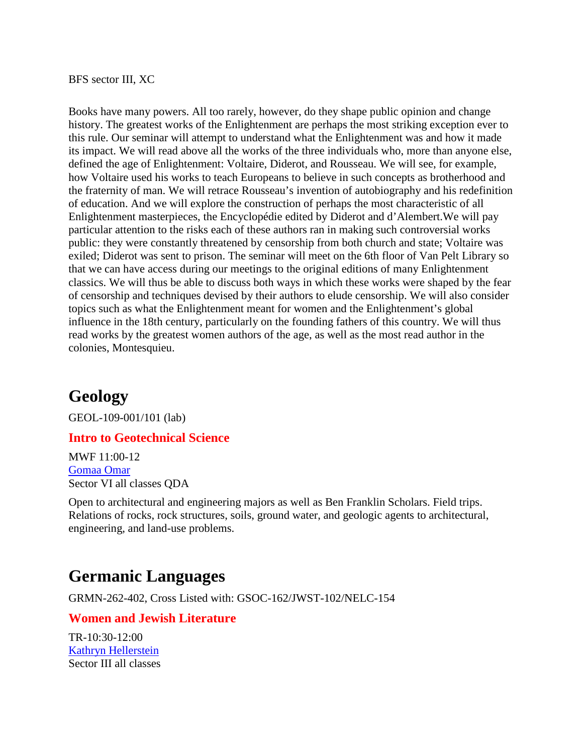BFS sector III, XC

Books have many powers. All too rarely, however, do they shape public opinion and change history. The greatest works of the Enlightenment are perhaps the most striking exception ever to this rule. Our seminar will attempt to understand what the Enlightenment was and how it made its impact. We will read above all the works of the three individuals who, more than anyone else, defined the age of Enlightenment: Voltaire, Diderot, and Rousseau. We will see, for example, how Voltaire used his works to teach Europeans to believe in such concepts as brotherhood and the fraternity of man. We will retrace Rousseau's invention of autobiography and his redefinition of education. And we will explore the construction of perhaps the most characteristic of all Enlightenment masterpieces, the Encyclopédie edited by Diderot and d'Alembert.We will pay particular attention to the risks each of these authors ran in making such controversial works public: they were constantly threatened by censorship from both church and state; Voltaire was exiled; Diderot was sent to prison. The seminar will meet on the 6th floor of Van Pelt Library so that we can have access during our meetings to the original editions of many Enlightenment classics. We will thus be able to discuss both ways in which these works were shaped by the fear of censorship and techniques devised by their authors to elude censorship. We will also consider topics such as what the Enlightenment meant for women and the Enlightenment's global influence in the 18th century, particularly on the founding fathers of this country. We will thus read works by the greatest women authors of the age, as well as the most read author in the colonies, Montesquieu.

# **Geology**

GEOL-109-001/101 (lab)

#### **Intro to Geotechnical Science**

MWF 11:00-12 [Gomaa Omar](http://www.sas.upenn.edu/earth/omar.html) Sector VI all classes QDA

Open to architectural and engineering majors as well as Ben Franklin Scholars. Field trips. Relations of rocks, rock structures, soils, ground water, and geologic agents to architectural, engineering, and land-use problems.

# **Germanic Languages**

GRMN-262-402, Cross Listed with: GSOC-162/JWST-102/NELC-154

### **Women and Jewish Literature**

TR-10:30-12:00 [Kathryn Hellerstein](http://ccat.sas.upenn.edu/german/people/faculty_staff/lecturers/hellerstein.htm) Sector III all classes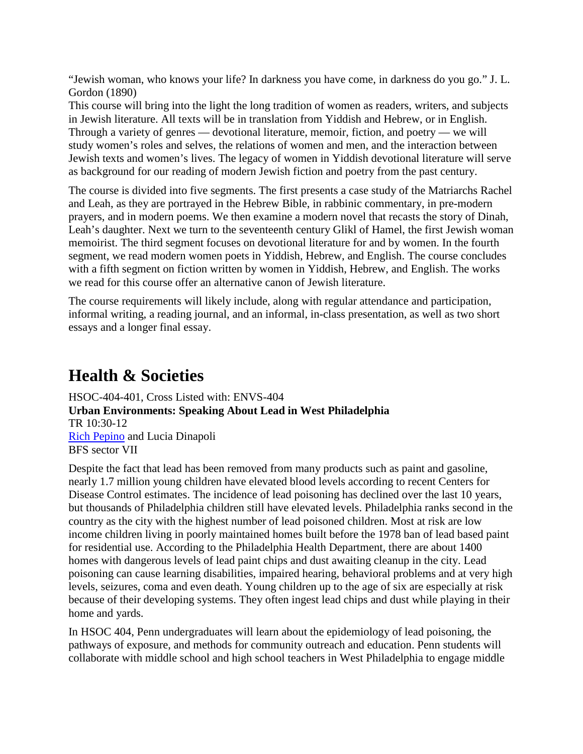"Jewish woman, who knows your life? In darkness you have come, in darkness do you go." J. L. Gordon (1890)

This course will bring into the light the long tradition of women as readers, writers, and subjects in Jewish literature. All texts will be in translation from Yiddish and Hebrew, or in English. Through a variety of genres — devotional literature, memoir, fiction, and poetry — we will study women's roles and selves, the relations of women and men, and the interaction between Jewish texts and women's lives. The legacy of women in Yiddish devotional literature will serve as background for our reading of modern Jewish fiction and poetry from the past century.

The course is divided into five segments. The first presents a case study of the Matriarchs Rachel and Leah, as they are portrayed in the Hebrew Bible, in rabbinic commentary, in pre-modern prayers, and in modern poems. We then examine a modern novel that recasts the story of Dinah, Leah's daughter. Next we turn to the seventeenth century Glikl of Hamel, the first Jewish woman memoirist. The third segment focuses on devotional literature for and by women. In the fourth segment, we read modern women poets in Yiddish, Hebrew, and English. The course concludes with a fifth segment on fiction written by women in Yiddish, Hebrew, and English. The works we read for this course offer an alternative canon of Jewish literature.

The course requirements will likely include, along with regular attendance and participation, informal writing, a reading journal, and an informal, in-class presentation, as well as two short essays and a longer final essay.

# **Health & Societies**

HSOC-404-401, Cross Listed with: ENVS-404 **Urban Environments: Speaking About Lead in West Philadelphia** TR 10:30-12 [Rich Pepino](http://www.sas.upenn.edu/earth/) and Lucia Dinapoli BFS sector VII

Despite the fact that lead has been removed from many products such as paint and gasoline, nearly 1.7 million young children have elevated blood levels according to recent Centers for Disease Control estimates. The incidence of lead poisoning has declined over the last 10 years, but thousands of Philadelphia children still have elevated levels. Philadelphia ranks second in the country as the city with the highest number of lead poisoned children. Most at risk are low income children living in poorly maintained homes built before the 1978 ban of lead based paint for residential use. According to the Philadelphia Health Department, there are about 1400 homes with dangerous levels of lead paint chips and dust awaiting cleanup in the city. Lead poisoning can cause learning disabilities, impaired hearing, behavioral problems and at very high levels, seizures, coma and even death. Young children up to the age of six are especially at risk because of their developing systems. They often ingest lead chips and dust while playing in their home and yards.

In HSOC 404, Penn undergraduates will learn about the epidemiology of lead poisoning, the pathways of exposure, and methods for community outreach and education. Penn students will collaborate with middle school and high school teachers in West Philadelphia to engage middle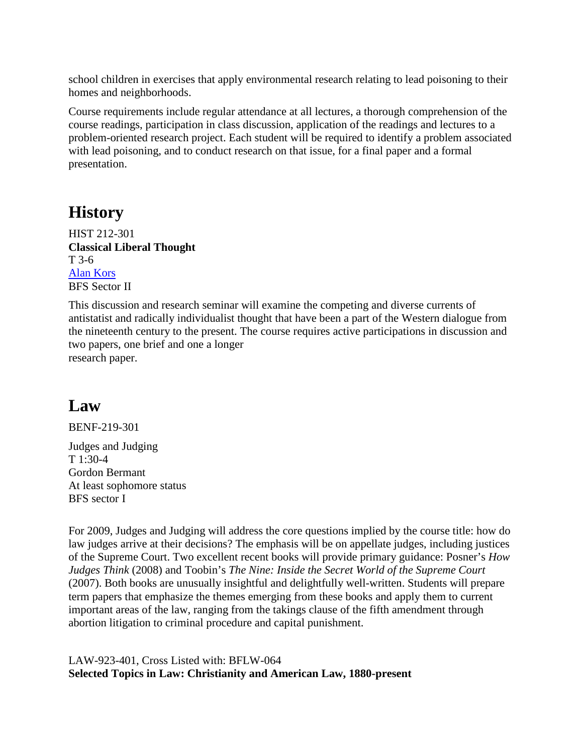school children in exercises that apply environmental research relating to lead poisoning to their homes and neighborhoods.

Course requirements include regular attendance at all lectures, a thorough comprehension of the course readings, participation in class discussion, application of the readings and lectures to a problem-oriented research project. Each student will be required to identify a problem associated with lead poisoning, and to conduct research on that issue, for a final paper and a formal presentation.

# **History**

HIST 212-301 **Classical Liberal Thought** T 3-6 [Alan Kors](http://www.history.upenn.edu/faculty/kors.shtml) BFS Sector II

This discussion and research seminar will examine the competing and diverse currents of antistatist and radically individualist thought that have been a part of the Western dialogue from the nineteenth century to the present. The course requires active participations in discussion and two papers, one brief and one a longer research paper.

# **Law**

BENF-219-301 Judges and Judging T 1:30-4 Gordon Bermant At least sophomore status BFS sector I

For 2009, Judges and Judging will address the core questions implied by the course title: how do law judges arrive at their decisions? The emphasis will be on appellate judges, including justices of the Supreme Court. Two excellent recent books will provide primary guidance: Posner's *How Judges Think* (2008) and Toobin's *The Nine: Inside the Secret World of the Supreme Court* (2007). Both books are unusually insightful and delightfully well-written. Students will prepare term papers that emphasize the themes emerging from these books and apply them to current important areas of the law, ranging from the takings clause of the fifth amendment through abortion litigation to criminal procedure and capital punishment.

LAW-923-401, Cross Listed with: BFLW-064 **Selected Topics in Law: Christianity and American Law, 1880-present**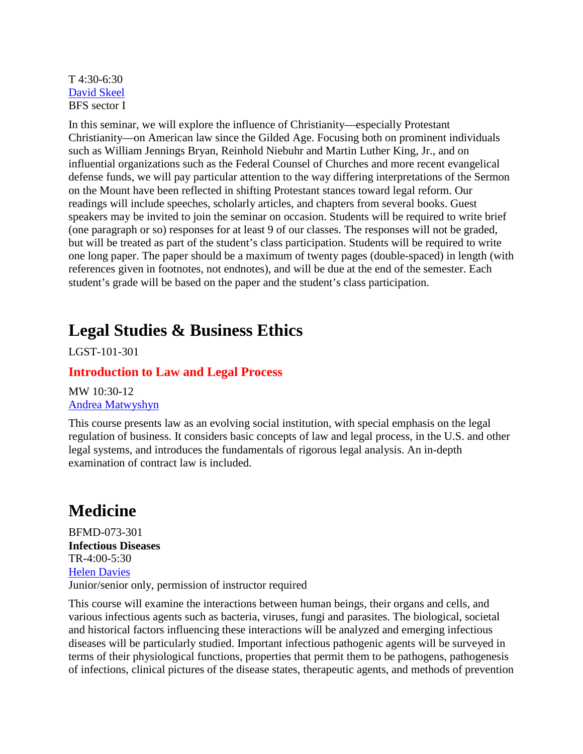#### T 4:30-6:30 [David Skeel](http://www.law.upenn.edu/cf/faculty/dskeel/) BFS sector I

In this seminar, we will explore the influence of Christianity—especially Protestant Christianity—on American law since the Gilded Age. Focusing both on prominent individuals such as William Jennings Bryan, Reinhold Niebuhr and Martin Luther King, Jr., and on influential organizations such as the Federal Counsel of Churches and more recent evangelical defense funds, we will pay particular attention to the way differing interpretations of the Sermon on the Mount have been reflected in shifting Protestant stances toward legal reform. Our readings will include speeches, scholarly articles, and chapters from several books. Guest speakers may be invited to join the seminar on occasion. Students will be required to write brief (one paragraph or so) responses for at least 9 of our classes. The responses will not be graded, but will be treated as part of the student's class participation. Students will be required to write one long paper. The paper should be a maximum of twenty pages (double-spaced) in length (with references given in footnotes, not endnotes), and will be due at the end of the semester. Each student's grade will be based on the paper and the student's class participation.

# **Legal Studies & Business Ethics**

LGST-101-301

### **Introduction to Law and Legal Process**

MW 10:30-12 [Andrea Matwyshyn](http://www.wharton.upenn.edu/faculty/matwyshyn.html)

This course presents law as an evolving social institution, with special emphasis on the legal regulation of business. It considers basic concepts of law and legal process, in the U.S. and other legal systems, and introduces the fundamentals of rigorous legal analysis. An in-depth examination of contract law is included.

# **Medicine**

BFMD-073-301 **Infectious Diseases** TR-4:00-5:30 [Helen Davies](http://www.med.upenn.edu/micro/faculty/davies.html) Junior/senior only, permission of instructor required

This course will examine the interactions between human beings, their organs and cells, and various infectious agents such as bacteria, viruses, fungi and parasites. The biological, societal and historical factors influencing these interactions will be analyzed and emerging infectious diseases will be particularly studied. Important infectious pathogenic agents will be surveyed in terms of their physiological functions, properties that permit them to be pathogens, pathogenesis of infections, clinical pictures of the disease states, therapeutic agents, and methods of prevention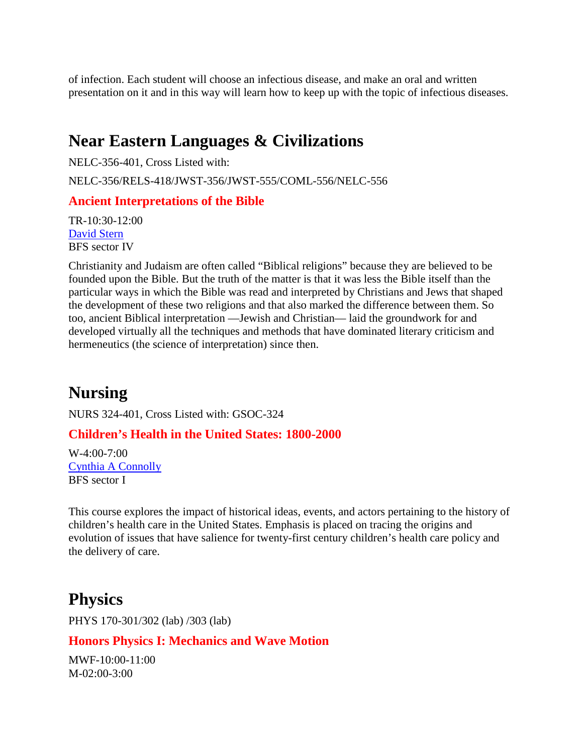of infection. Each student will choose an infectious disease, and make an oral and written presentation on it and in this way will learn how to keep up with the topic of infectious diseases.

# **Near Eastern Languages & Civilizations**

NELC-356-401, Cross Listed with: NELC-356/RELS-418/JWST-356/JWST-555/COML-556/NELC-556

### **Ancient Interpretations of the Bible**

TR-10:30-12:00 [David Stern](http://ccat.sas.upenn.edu/jwst/stern.htm) BFS sector IV

Christianity and Judaism are often called "Biblical religions" because they are believed to be founded upon the Bible. But the truth of the matter is that it was less the Bible itself than the particular ways in which the Bible was read and interpreted by Christians and Jews that shaped the development of these two religions and that also marked the difference between them. So too, ancient Biblical interpretation —Jewish and Christian— laid the groundwork for and developed virtually all the techniques and methods that have dominated literary criticism and hermeneutics (the science of interpretation) since then.

# **Nursing**

NURS 324-401, Cross Listed with: GSOC-324

### **Children's Health in the United States: 1800-2000**

 $W-4:00-7:00$ [Cynthia A Connolly](http://www.nursing.upenn.edu/faculty/profile.asp?pid=1179) BFS sector I

This course explores the impact of historical ideas, events, and actors pertaining to the history of children's health care in the United States. Emphasis is placed on tracing the origins and evolution of issues that have salience for twenty-first century children's health care policy and the delivery of care.

## **Physics**

PHYS 170-301/302 (lab) /303 (lab)

#### **Honors Physics I: Mechanics and Wave Motion**

MWF-10:00-11:00 M-02:00-3:00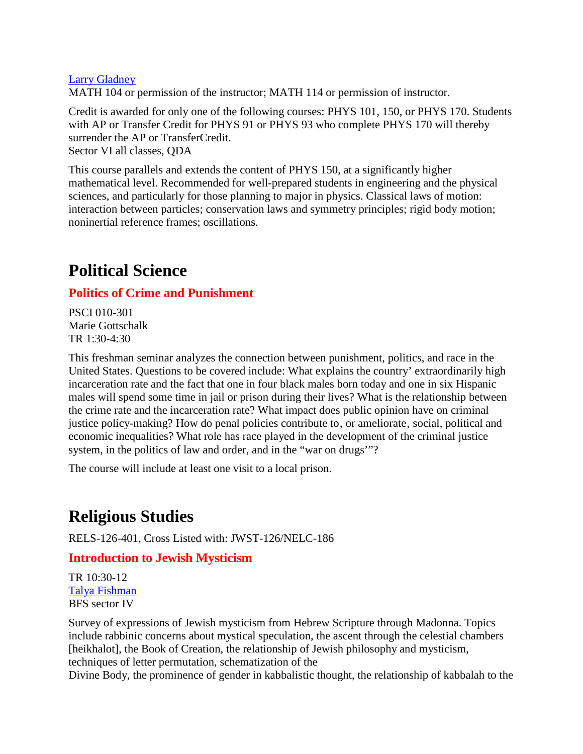#### [Larry Gladney](http://www.physics.upenn.edu/people/l.gladney.html)

MATH 104 or permission of the instructor; MATH 114 or permission of instructor.

Credit is awarded for only one of the following courses: PHYS 101, 150, or PHYS 170. Students with AP or Transfer Credit for PHYS 91 or PHYS 93 who complete PHYS 170 will thereby surrender the AP or TransferCredit.

Sector VI all classes, QDA

This course parallels and extends the content of PHYS 150, at a significantly higher mathematical level. Recommended for well-prepared students in engineering and the physical sciences, and particularly for those planning to major in physics. Classical laws of motion: interaction between particles; conservation laws and symmetry principles; rigid body motion; noninertial reference frames; oscillations.

# **Political Science**

### **Politics of Crime and Punishment**

PSCI 010-301 Marie Gottschalk TR 1:30-4:30

This freshman seminar analyzes the connection between punishment, politics, and race in the United States. Questions to be covered include: What explains the country' extraordinarily high incarceration rate and the fact that one in four black males born today and one in six Hispanic males will spend some time in jail or prison during their lives? What is the relationship between the crime rate and the incarceration rate? What impact does public opinion have on criminal justice policy-making? How do penal policies contribute to, or ameliorate, social, political and economic inequalities? What role has race played in the development of the criminal justice system, in the politics of law and order, and in the "war on drugs"?

The course will include at least one visit to a local prison.

# **Religious Studies**

RELS-126-401, Cross Listed with: JWST-126/NELC-186

### **Introduction to Jewish Mysticism**

TR 10:30-12 [Talya Fishman](http://ccat.sas.upenn.edu/rs/fishman-cv.html) BFS sector IV

Survey of expressions of Jewish mysticism from Hebrew Scripture through Madonna. Topics include rabbinic concerns about mystical speculation, the ascent through the celestial chambers [heikhalot], the Book of Creation, the relationship of Jewish philosophy and mysticism, techniques of letter permutation, schematization of the

Divine Body, the prominence of gender in kabbalistic thought, the relationship of kabbalah to the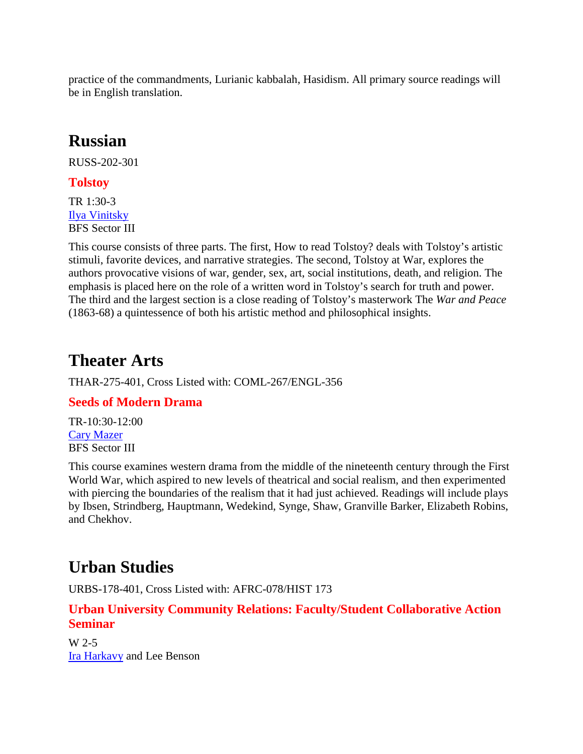practice of the commandments, Lurianic kabbalah, Hasidism. All primary source readings will be in English translation.

# **Russian**

RUSS-202-301

### **Tolstoy**

TR 1:30-3 [Ilya Vinitsky](http://ccat.sas.upenn.edu/slavic/faculty/vinitsky.htm) BFS Sector III

This course consists of three parts. The first, How to read Tolstoy? deals with Tolstoy's artistic stimuli, favorite devices, and narrative strategies. The second, Tolstoy at War, explores the authors provocative visions of war, gender, sex, art, social institutions, death, and religion. The emphasis is placed here on the role of a written word in Tolstoy's search for truth and power. The third and the largest section is a close reading of Tolstoy's masterwork The *War and Peace* (1863-68) a quintessence of both his artistic method and philosophical insights.

# **Theater Arts**

THAR-275-401, Cross Listed with: COML-267/ENGL-356

### **Seeds of Modern Drama**

TR-10:30-12:00 [Cary Mazer](http://www.english.upenn.edu/~cmazer/home.html) BFS Sector III

This course examines western drama from the middle of the nineteenth century through the First World War, which aspired to new levels of theatrical and social realism, and then experimented with piercing the boundaries of the realism that it had just achieved. Readings will include plays by Ibsen, Strindberg, Hauptmann, Wedekind, Synge, Shaw, Granville Barker, Elizabeth Robins, and Chekhov.

# **Urban Studies**

URBS-178-401, Cross Listed with: AFRC-078/HIST 173

### **Urban University Community Relations: Faculty/Student Collaborative Action Seminar**

W 2-5 [Ira Harkavy](http://www.publichealth.med.upenn.edu/IraHarkavy.shtml) and Lee Benson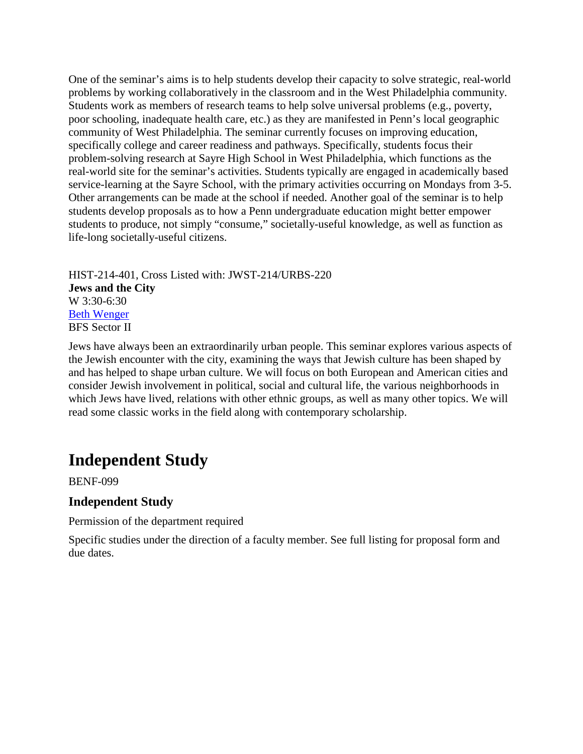One of the seminar's aims is to help students develop their capacity to solve strategic, real-world problems by working collaboratively in the classroom and in the West Philadelphia community. Students work as members of research teams to help solve universal problems (e.g., poverty, poor schooling, inadequate health care, etc.) as they are manifested in Penn's local geographic community of West Philadelphia. The seminar currently focuses on improving education, specifically college and career readiness and pathways. Specifically, students focus their problem-solving research at Sayre High School in West Philadelphia, which functions as the real-world site for the seminar's activities. Students typically are engaged in academically based service-learning at the Sayre School, with the primary activities occurring on Mondays from 3-5. Other arrangements can be made at the school if needed. Another goal of the seminar is to help students develop proposals as to how a Penn undergraduate education might better empower students to produce, not simply "consume," societally-useful knowledge, as well as function as life-long societally-useful citizens.

HIST-214-401, Cross Listed with: JWST-214/URBS-220 **Jews and the City** W 3:30-6:30 [Beth Wenger](http://www.history.upenn.edu/faculty/wenger.shtml) BFS Sector II

Jews have always been an extraordinarily urban people. This seminar explores various aspects of the Jewish encounter with the city, examining the ways that Jewish culture has been shaped by and has helped to shape urban culture. We will focus on both European and American cities and consider Jewish involvement in political, social and cultural life, the various neighborhoods in which Jews have lived, relations with other ethnic groups, as well as many other topics. We will read some classic works in the field along with contemporary scholarship.

# **Independent Study**

BENF-099

### **Independent Study**

Permission of the department required

Specific studies under the direction of a faculty member. See full listing for proposal form and due dates.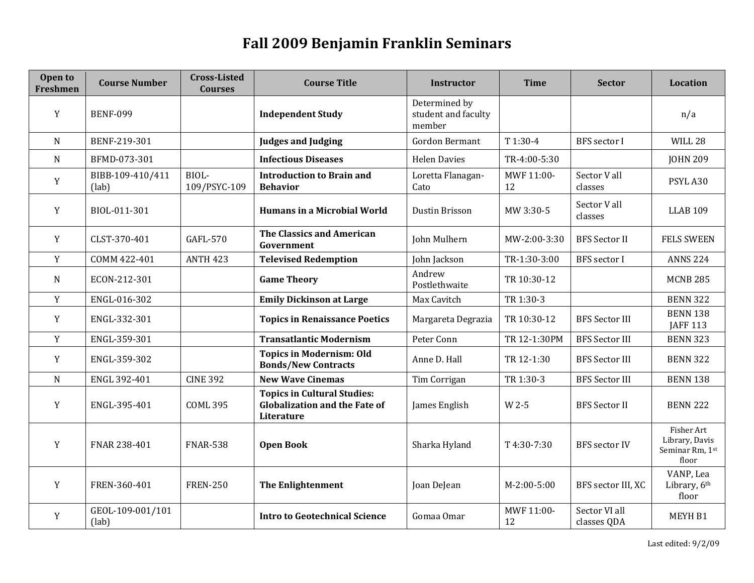### **Fall 2009 Benjamin Franklin Seminars**

<span id="page-14-0"></span>

| Open to<br><b>Freshmen</b> | <b>Course Number</b>      | <b>Cross-Listed</b><br><b>Courses</b> | <b>Course Title</b>                                                                      | <b>Instructor</b>                              | <b>Time</b>      | <b>Sector</b>                | Location                                                 |
|----------------------------|---------------------------|---------------------------------------|------------------------------------------------------------------------------------------|------------------------------------------------|------------------|------------------------------|----------------------------------------------------------|
| Y                          | <b>BENF-099</b>           |                                       | <b>Independent Study</b>                                                                 | Determined by<br>student and faculty<br>member |                  |                              | n/a                                                      |
| N                          | BENF-219-301              |                                       | <b>Judges and Judging</b>                                                                | <b>Gordon Bermant</b>                          | T 1:30-4         | <b>BFS</b> sector I          | WILL 28                                                  |
| N                          | BFMD-073-301              |                                       | <b>Infectious Diseases</b>                                                               | <b>Helen Davies</b>                            | TR-4:00-5:30     |                              | <b>JOHN 209</b>                                          |
| Y                          | BIBB-109-410/411<br>(lab) | BIOL-<br>109/PSYC-109                 | <b>Introduction to Brain and</b><br><b>Behavior</b>                                      | Loretta Flanagan-<br>Cato                      | MWF 11:00-<br>12 | Sector V all<br>classes      | PSYL A30                                                 |
| Y                          | BIOL-011-301              |                                       | <b>Humans in a Microbial World</b>                                                       | Dustin Brisson                                 | MW 3:30-5        | Sector V all<br>classes      | <b>LLAB 109</b>                                          |
| Y                          | CLST-370-401              | <b>GAFL-570</b>                       | <b>The Classics and American</b><br>Government                                           | John Mulhern                                   | MW-2:00-3:30     | <b>BFS Sector II</b>         | <b>FELS SWEEN</b>                                        |
| Y                          | COMM 422-401              | <b>ANTH 423</b>                       | <b>Televised Redemption</b>                                                              | John Jackson                                   | TR-1:30-3:00     | <b>BFS</b> sector I          | <b>ANNS 224</b>                                          |
| N                          | ECON-212-301              |                                       | <b>Game Theory</b>                                                                       | Andrew<br>Postlethwaite                        | TR 10:30-12      |                              | <b>MCNB 285</b>                                          |
| Y                          | ENGL-016-302              |                                       | <b>Emily Dickinson at Large</b>                                                          | Max Cavitch                                    | TR 1:30-3        |                              | <b>BENN 322</b>                                          |
| Y                          | ENGL-332-301              |                                       | <b>Topics in Renaissance Poetics</b>                                                     | Margareta Degrazia                             | TR 10:30-12      | <b>BFS Sector III</b>        | <b>BENN 138</b><br><b>JAFF 113</b>                       |
| Y                          | ENGL-359-301              |                                       | <b>Transatlantic Modernism</b>                                                           | Peter Conn                                     | TR 12-1:30PM     | <b>BFS Sector III</b>        | <b>BENN 323</b>                                          |
| Y                          | ENGL-359-302              |                                       | <b>Topics in Modernism: Old</b><br><b>Bonds/New Contracts</b>                            | Anne D. Hall                                   | TR 12-1:30       | <b>BFS Sector III</b>        | <b>BENN 322</b>                                          |
| $\mathbf N$                | ENGL 392-401              | <b>CINE 392</b>                       | <b>New Wave Cinemas</b>                                                                  | Tim Corrigan                                   | TR 1:30-3        | <b>BFS</b> Sector III        | <b>BENN 138</b>                                          |
| Y                          | ENGL-395-401              | <b>COML 395</b>                       | <b>Topics in Cultural Studies:</b><br><b>Globalization and the Fate of</b><br>Literature | James English                                  | W 2-5            | <b>BFS</b> Sector II         | <b>BENN 222</b>                                          |
| Y                          | FNAR 238-401              | <b>FNAR-538</b>                       | <b>Open Book</b>                                                                         | Sharka Hyland                                  | T 4:30-7:30      | <b>BFS</b> sector IV         | Fisher Art<br>Library, Davis<br>Seminar Rm, 1st<br>floor |
| Y                          | FREN-360-401              | <b>FREN-250</b>                       | <b>The Enlightenment</b>                                                                 | Joan DeJean                                    | $M-2:00-5:00$    | BFS sector III, XC           | VANP, Lea<br>Library, 6th<br>floor                       |
| Y                          | GEOL-109-001/101<br>(lab) |                                       | <b>Intro to Geotechnical Science</b>                                                     | Gomaa Omar                                     | MWF 11:00-<br>12 | Sector VI all<br>classes QDA | MEYH B1                                                  |